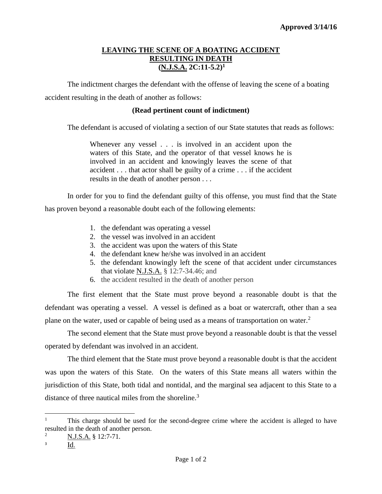## **LEAVING THE SCENE OF A BOATING ACCIDENT RESULTING IN DEATH (N.J.S.A. 2C:11-5.2)<sup>1</sup>**

The indictment charges the defendant with the offense of leaving the scene of a boating accident resulting in the death of another as follows:

## **(Read pertinent count of indictment)**

The defendant is accused of violating a section of our State statutes that reads as follows:

Whenever any vessel . . . is involved in an accident upon the waters of this State, and the operator of that vessel knows he is involved in an accident and knowingly leaves the scene of that accident . . . that actor shall be guilty of a crime . . . if the accident results in the death of another person . . .

In order for you to find the defendant guilty of this offense, you must find that the State has proven beyond a reasonable doubt each of the following elements:

- 1. the defendant was operating a vessel
- 2. the vessel was involved in an accident
- 3. the accident was upon the waters of this State
- 4. the defendant knew he/she was involved in an accident
- 5. the defendant knowingly left the scene of that accident under circumstances that violate N.J.S.A. § 12:7-34.46; and
- 6. the accident resulted in the death of another person

The first element that the State must prove beyond a reasonable doubt is that the defendant was operating a vessel. A vessel is defined as a boat or watercraft, other than a sea plane on the water, used or capable of being used as a means of transportation on water.<sup>2</sup>

The second element that the State must prove beyond a reasonable doubt is that the vessel operated by defendant was involved in an accident.

The third element that the State must prove beyond a reasonable doubt is that the accident was upon the waters of this State. On the waters of this State means all waters within the jurisdiction of this State, both tidal and nontidal, and the marginal sea adjacent to this State to a distance of three nautical miles from the shoreline.<sup>3</sup>

 $\overline{a}$  $1$  This charge should be used for the second-degree crime where the accident is alleged to have resulted in the death of another person.

<sup>&</sup>lt;sup>2</sup> N.J.S.A. § 12:7-71.

<sup>3</sup> Id.